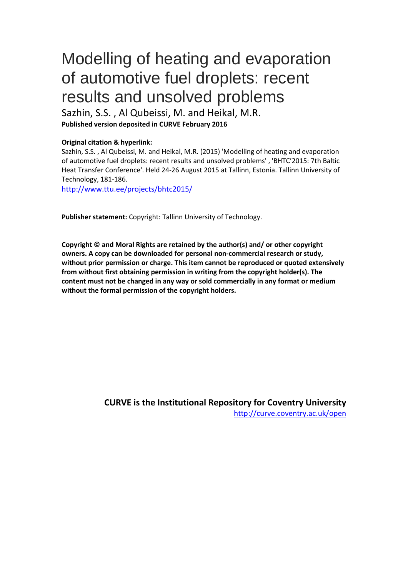# Modelling of heating and evaporation of automotive fuel droplets: recent results and unsolved problems

Sazhin, S.S. , Al Qubeissi, M. and Heikal, M.R. **Published version deposited in CURVE February 2016**

## **Original citation & hyperlink:**

Sazhin, S.S. , Al Qubeissi, M. and Heikal, M.R. (2015) 'Modelling of heating and evaporation of automotive fuel droplets: recent results and unsolved problems' , 'BHTC'2015: 7th Baltic Heat Transfer Conference'. Held 24-26 August 2015 at Tallinn, Estonia. Tallinn University of Technology, 181-186.

<http://www.ttu.ee/projects/bhtc2015/>

**Publisher statement:** Copyright: Tallinn University of Technology.

**Copyright © and Moral Rights are retained by the author(s) and/ or other copyright owners. A copy can be downloaded for personal non-commercial research or study, without prior permission or charge. This item cannot be reproduced or quoted extensively from without first obtaining permission in writing from the copyright holder(s). The content must not be changed in any way or sold commercially in any format or medium without the formal permission of the copyright holders.** 

> **CURVE is the Institutional Repository for Coventry University** <http://curve.coventry.ac.uk/open>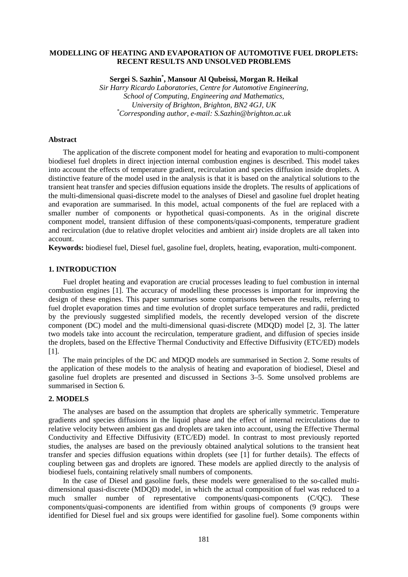## **MODELLING OF HEATING AND EVAPORATION OF AUTOMOTIVE FUEL DROPLETS: RECENT RESULTS AND UNSOLVED PROBLEMS**

**Sergei S. Sazhin\* , Mansour Al Qubeissi, Morgan R. Heikal**

*Sir Harry Ricardo Laboratories, Centre for Automotive Engineering, School of Computing, Engineering and Mathematics, University of Brighton, Brighton, BN2 4GJ, UK \* Corresponding author, e-mail: S.Sazhin@brighton.ac.uk*

#### **Abstract**

The application of the discrete component model for heating and evaporation to multi-component biodiesel fuel droplets in direct injection internal combustion engines is described. This model takes into account the effects of temperature gradient, recirculation and species diffusion inside droplets. A distinctive feature of the model used in the analysis is that it is based on the analytical solutions to the transient heat transfer and species diffusion equations inside the droplets. The results of applications of the multi-dimensional quasi-discrete model to the analyses of Diesel and gasoline fuel droplet heating and evaporation are summarised. In this model, actual components of the fuel are replaced with a smaller number of components or hypothetical quasi-components. As in the original discrete component model, transient diffusion of these components/quasi-components, temperature gradient and recirculation (due to relative droplet velocities and ambient air) inside droplets are all taken into account.

**Keywords:** biodiesel fuel, Diesel fuel, gasoline fuel, droplets, heating, evaporation, multi-component.

## **1. INTRODUCTION**

Fuel droplet heating and evaporation are crucial processes leading to fuel combustion in internal combustion engines [1]. The accuracy of modelling these processes is important for improving the design of these engines. This paper summarises some comparisons between the results, referring to fuel droplet evaporation times and time evolution of droplet surface temperatures and radii, predicted by the previously suggested simplified models, the recently developed version of the discrete component (DC) model and the multi-dimensional quasi-discrete (MDQD) model [2, 3]. The latter two models take into account the recirculation, temperature gradient, and diffusion of species inside the droplets, based on the Effective Thermal Conductivity and Effective Diffusivity (ETC/ED) models [1].

The main principles of the DC and MDQD models are summarised in Section 2. Some results of the application of these models to the analysis of heating and evaporation of biodiesel, Diesel and gasoline fuel droplets are presented and discussed in Sections 3–5. Some unsolved problems are summarised in Section 6.

## **2. MODELS**

The analyses are based on the assumption that droplets are spherically symmetric. Temperature gradients and species diffusions in the liquid phase and the effect of internal recirculations due to relative velocity between ambient gas and droplets are taken into account, using the Effective Thermal Conductivity and Effective Diffusivity (ETC/ED) model. In contrast to most previously reported studies, the analyses are based on the previously obtained analytical solutions to the transient heat transfer and species diffusion equations within droplets (see [1] for further details). The effects of coupling between gas and droplets are ignored. These models are applied directly to the analysis of biodiesel fuels, containing relatively small numbers of components.

In the case of Diesel and gasoline fuels, these models were generalised to the so-called multidimensional quasi-discrete (MDQD) model, in which the actual composition of fuel was reduced to a much smaller number of representative components/quasi-components (C/QC). These components/quasi-components are identified from within groups of components (9 groups were identified for Diesel fuel and six groups were identified for gasoline fuel). Some components within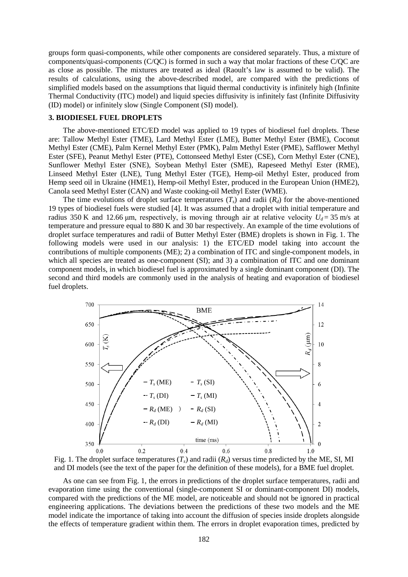groups form quasi-components, while other components are considered separately. Thus, a mixture of components/quasi-components (C/QC) is formed in such a way that molar fractions of these C/QC are as close as possible. The mixtures are treated as ideal (Raoult's law is assumed to be valid). The results of calculations, using the above-described model, are compared with the predictions of simplified models based on the assumptions that liquid thermal conductivity is infinitely high (Infinite Thermal Conductivity (ITC) model) and liquid species diffusivity is infinitely fast (Infinite Diffusivity (ID) model) or infinitely slow (Single Component (SI) model).

#### **3. BIODIESEL FUEL DROPLETS**

The above-mentioned ETC/ED model was applied to 19 types of biodiesel fuel droplets. These are: Tallow Methyl Ester (TME), Lard Methyl Ester (LME), Butter Methyl Ester (BME), Coconut Methyl Ester (CME), Palm Kernel Methyl Ester (PMK), Palm Methyl Ester (PME), Safflower Methyl Ester (SFE), Peanut Methyl Ester (PTE), Cottonseed Methyl Ester (CSE), Corn Methyl Ester (CNE), Sunflower Methyl Ester (SNE), Soybean Methyl Ester (SME), Rapeseed Methyl Ester (RME), Linseed Methyl Ester (LNE), Tung Methyl Ester (TGE), Hemp-oil Methyl Ester, produced from Hemp seed oil in Ukraine (HME1), Hemp-oil Methyl Ester, produced in the European Union (HME2), Canola seed Methyl Ester (CAN) and Waste cooking-oil Methyl Ester (WME).

The time evolutions of droplet surface temperatures  $(T<sub>c</sub>)$  and radii  $(R<sub>d</sub>)$  for the above-mentioned 19 types of biodiesel fuels were studied [4]. It was assumed that a droplet with initial temperature and radius 350 K and 12.66 μm, respectively, is moving through air at relative velocity  $U_d = 35$  m/s at temperature and pressure equal to 880 K and 30 bar respectively. An example of the time evolutions of droplet surface temperatures and radii of Butter Methyl Ester (BME) droplets is shown in Fig. 1. The following models were used in our analysis: 1) the ETC/ED model taking into account the contributions of multiple components (ME); 2) a combination of ITC and single-component models, in which all species are treated as one-component (SI); and 3) a combination of ITC and one dominant component models, in which biodiesel fuel is approximated by a single dominant component (DI). The second and third models are commonly used in the analysis of heating and evaporation of biodiesel fuel droplets.



Fig. 1. The droplet surface temperatures  $(T_s)$  and radii  $(R_d)$  versus time predicted by the ME, SI, MI and DI models (see the text of the paper for the definition of these models), for a BME fuel droplet.

As one can see from Fig. 1, the errors in predictions of the droplet surface temperatures, radii and evaporation time using the conventional (single-component SI or dominant-component DI) models, compared with the predictions of the ME model, are noticeable and should not be ignored in practical engineering applications. The deviations between the predictions of these two models and the ME model indicate the importance of taking into account the diffusion of species inside droplets alongside the effects of temperature gradient within them. The errors in droplet evaporation times, predicted by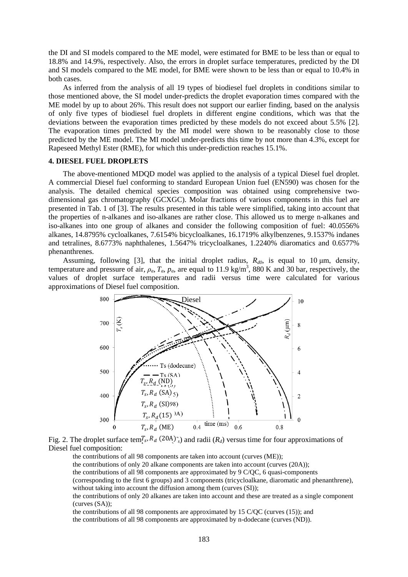the DI and SI models compared to the ME model, were estimated for BME to be less than or equal to 18.8% and 14.9%, respectively. Also, the errors in droplet surface temperatures, predicted by the DI and SI models compared to the ME model, for BME were shown to be less than or equal to 10.4% in both cases.

As inferred from the analysis of all 19 types of biodiesel fuel droplets in conditions similar to those mentioned above, the SI model under-predicts the droplet evaporation times compared with the ME model by up to about 26%. This result does not support our earlier finding, based on the analysis of only five types of biodiesel fuel droplets in different engine conditions, which was that the deviations between the evaporation times predicted by these models do not exceed about 5.5% [2]. The evaporation times predicted by the MI model were shown to be reasonably close to those predicted by the ME model. The MI model under-predicts this time by not more than 4.3%, except for Rapeseed Methyl Ester (RME), for which this under-prediction reaches 15.1%.

#### **4. DIESEL FUEL DROPLETS**

The above-mentioned MDQD model was applied to the analysis of a typical Diesel fuel droplet. A commercial Diesel fuel conforming to standard European Union fuel (EN590) was chosen for the analysis. The detailed chemical species composition was obtained using comprehensive twodimensional gas chromatography (GCXGC). Molar fractions of various components in this fuel are presented in Tab. 1 of [3]. The results presented in this table were simplified, taking into account that the properties of n-alkanes and iso-alkanes are rather close. This allowed us to merge n-alkanes and iso-alkanes into one group of alkanes and consider the following composition of fuel: 40.0556% alkanes, 14.8795% cycloalkanes, 7.6154% bicycloalkanes, 16.1719% alkylbenzenes, 9.1537% indanes and tetralines, 8.6773% naphthalenes, 1.5647% tricycloalkanes, 1.2240% diaromatics and 0.6577% phenanthrenes.

Assuming, following [3], that the initial droplet radius,  $R_{d0}$ , is equal to 10  $\mu$ m, density, temperature and pressure of air,  $\rho_\omega T_\omega p_\omega$  are equal to 11.9 kg/m<sup>3</sup>, 880 K and 30 bar, respectively, the values of droplet surface temperatures and radii versus time were calculated for various approximations of Diesel fuel composition.



Fig. 2. The droplet surface tem $T_s$ ,  $R_d$  (20A)<sup> $\cdot$ </sup><sub>s</sub>) and radii ( $R_d$ ) versus time for four approximations of Diesel fuel composition:

the contributions of all 98 components are taken into account (curves (ME));

the contributions of only 20 alkane components are taken into account (curves (20A));

the contributions of all 98 components are approximated by 9 C/QC, 6 quasi-components

(corresponding to the first 6 groups) and 3 components (tricycloalkane, diaromatic and phenanthrene), without taking into account the diffusion among them (curves  $(SI)$ );

the contributions of only 20 alkanes are taken into account and these are treated as a single component (curves (SA));

the contributions of all 98 components are approximated by 15 C/QC (curves (15)); and

the contributions of all 98 components are approximated by n-dodecane (curves (ND)).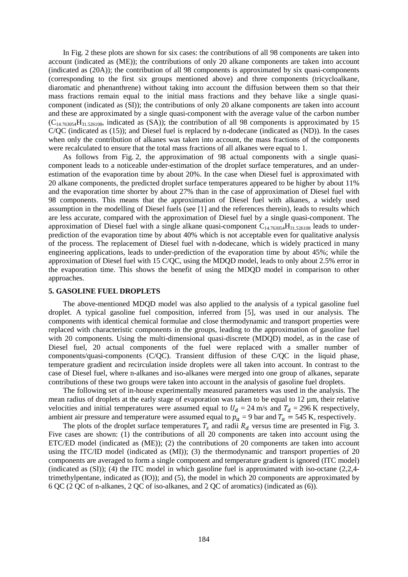In Fig. 2 these plots are shown for six cases: the contributions of all 98 components are taken into account (indicated as (ME)); the contributions of only 20 alkane components are taken into account (indicated as (20A)); the contribution of all 98 components is approximated by six quasi-components (corresponding to the first six groups mentioned above) and three components (tricycloalkane, diaromatic and phenanthrene) without taking into account the diffusion between them so that their mass fractions remain equal to the initial mass fractions and they behave like a single quasicomponent (indicated as (SI)); the contributions of only 20 alkane components are taken into account and these are approximated by a single quasi-component with the average value of the carbon number  $(C_{14.763054}H_{31.526108}$ , indicated as (SA)); the contribution of all 98 components is approximated by 15 C/QC (indicated as (15)); and Diesel fuel is replaced by n-dodecane (indicated as (ND)). In the cases when only the contribution of alkanes was taken into account, the mass fractions of the components were recalculated to ensure that the total mass fractions of all alkanes were equal to 1.

As follows from Fig. 2, the approximation of 98 actual components with a single quasicomponent leads to a noticeable under-estimation of the droplet surface temperatures, and an underestimation of the evaporation time by about 20%. In the case when Diesel fuel is approximated with 20 alkane components, the predicted droplet surface temperatures appeared to be higher by about 11% and the evaporation time shorter by about 27% than in the case of approximation of Diesel fuel with 98 components. This means that the approximation of Diesel fuel with alkanes, a widely used assumption in the modelling of Diesel fuels (see [1] and the references therein), leads to results which are less accurate, compared with the approximation of Diesel fuel by a single quasi-component. The approximation of Diesel fuel with a single alkane quasi-component  $C_{14.763054}H_{31.526108}$  leads to underprediction of the evaporation time by about 40% which is not acceptable even for qualitative analysis of the process. The replacement of Diesel fuel with n-dodecane, which is widely practiced in many engineering applications, leads to under-prediction of the evaporation time by about 45%; while the approximation of Diesel fuel with 15 C/QC, using the MDQD model, leads to only about 2.5% error in the evaporation time. This shows the benefit of using the MDQD model in comparison to other approaches.

#### **5. GASOLINE FUEL DROPLETS**

The above-mentioned MDQD model was also applied to the analysis of a typical gasoline fuel droplet. A typical gasoline fuel composition, inferred from [5], was used in our analysis. The components with identical chemical formulae and close thermodynamic and transport properties were replaced with characteristic components in the groups, leading to the approximation of gasoline fuel with 20 components. Using the multi-dimensional quasi-discrete (MDQD) model, as in the case of Diesel fuel, 20 actual components of the fuel were replaced with a smaller number of components/quasi-components (C/QC). Transient diffusion of these C/QC in the liquid phase, temperature gradient and recirculation inside droplets were all taken into account. In contrast to the case of Diesel fuel, where n-alkanes and iso-alkanes were merged into one group of alkanes, separate contributions of these two groups were taken into account in the analysis of gasoline fuel droplets.

The following set of in-house experimentally measured parameters was used in the analysis. The mean radius of droplets at the early stage of evaporation was taken to be equal to 12 µm, their relative velocities and initial temperatures were assumed equal to  $U_d = 24$  m/s and  $T_d = 296$  K respectively, ambient air pressure and temperature were assumed equal to  $p_a = 9$  bar and  $T_a = 545$  K, respectively.

The plots of the droplet surface temperatures  $T_s$  and radii  $R_d$  versus time are presented in Fig. 3. Five cases are shown: (1) the contributions of all 20 components are taken into account using the ETC/ED model (indicated as (ME)); (2) the contributions of 20 components are taken into account using the ITC/ID model (indicated as (MI)); (3) the thermodynamic and transport properties of 20 components are averaged to form a single component and temperature gradient is ignored (ITC model) (indicated as (SI)); (4) the ITC model in which gasoline fuel is approximated with iso-octane (2,2,4 trimethylpentane, indicated as (IO)); and (5), the model in which 20 components are approximated by 6 QC (2 QC of n-alkanes, 2 QC of iso-alkanes, and 2 QC of aromatics) (indicated as (6)).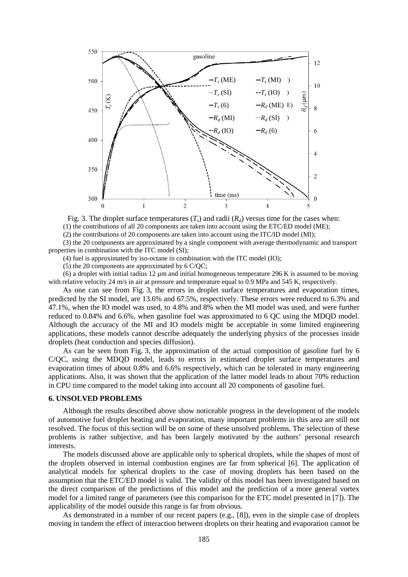

Fig. 3. The droplet surface temperatures  $(T_s)$  and radii  $(R_d)$  versus time for the cases when: (1) the contributions of all 20 components are taken into account using the ETC/ED model (ME);

(2) the contributions of 20 components are taken into account using the ITC/ID model (MI);

(3) the 20 components are approximated by a single component with average thermodynamic and transport properties in combination with the ITC model (SI);

(4) fuel is approximated by iso-octane in combination with the ITC model (IO);

(5) the 20 components are approximated by 6 C/QC;

(6) a droplet with initial radius  $12 \mu m$  and initial homogeneous temperature 296 K is assumed to be moving with relative velocity 24 m/s in air at pressure and temperature equal to 0.9 MPa and 545 K, respectively.

As one can see from Fig. 3, the errors in droplet surface temperatures and evaporation times, predicted by the SI model, are 13.6% and 67.5%, respectively. These errors were reduced to 6.3% and 47.1%, when the IO model was used, to 4.8% and 8% when the MI model was used, and were further reduced to 0.84% and 6.6%, when gasoline fuel was approximated to 6 QC using the MDQD model. Although the accuracy of the MI and IO models might be acceptable in some limited engineering applications, these models cannot describe adequately the underlying physics of the processes inside droplets (heat conduction and species diffusion).

As can be seen from Fig. 3, the approximation of the actual composition of gasoline fuel by 6 C/QC, using the MDQD model, leads to errors in estimated droplet surface temperatures and evaporation times of about 0.8% and 6.6% respectively, which can be tolerated in many engineering applications. Also, it was shown that the application of the latter model leads to about 70% reduction in CPU time compared to the model taking into account all 20 components of gasoline fuel.

#### **6. UNSOLVED PROBLEMS**

Although the results described above show noticeable progress in the development of the models of automotive fuel droplet heating and evaporation, many important problems in this area are still not resolved. The focus of this section will be on some of these unsolved problems. The selection of these problems is rather subjective, and has been largely motivated by the authors' personal research interests.

The models discussed above are applicable only to spherical droplets, while the shapes of most of the droplets observed in internal combustion engines are far from spherical [6]. The application of analytical models for spherical droplets to the case of moving droplets has been based on the assumption that the ETC/ED model is valid. The validity of this model has been investigated based on the direct comparison of the predictions of this model and the prediction of a more general vortex model for a limited range of parameters (see this comparison for the ETC model presented in [7]). The applicability of the model outside this range is far from obvious.

As demonstrated in a number of our recent papers (e.g., [8]), even in the simple case of droplets moving in tandem the effect of interaction between droplets on their heating and evaporation cannot be